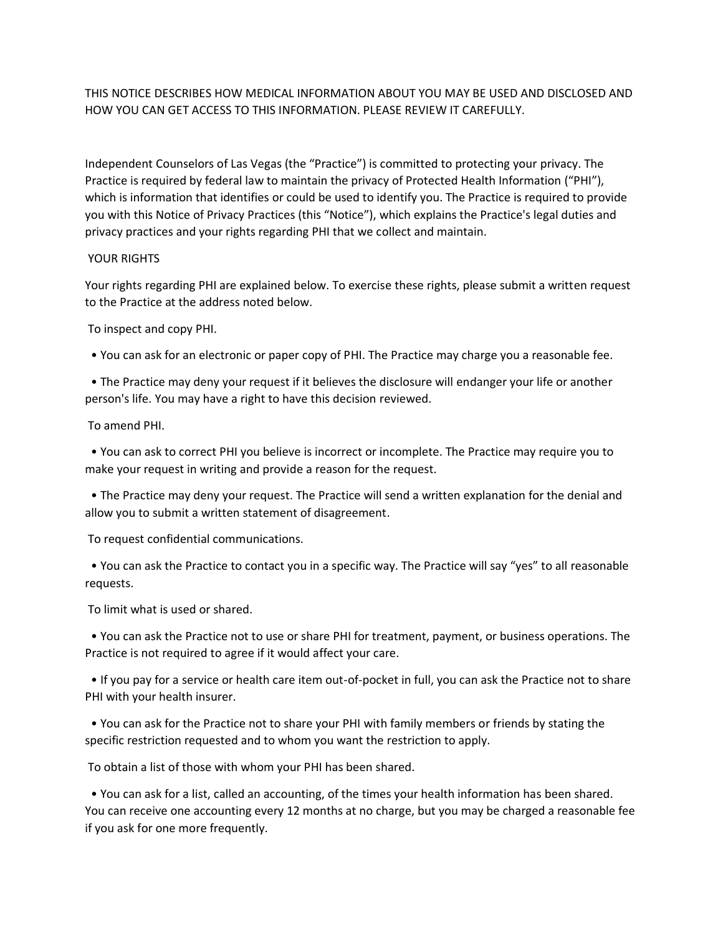THIS NOTICE DESCRIBES HOW MEDICAL INFORMATION ABOUT YOU MAY BE USED AND DISCLOSED AND HOW YOU CAN GET ACCESS TO THIS INFORMATION. PLEASE REVIEW IT CAREFULLY.

Independent Counselors of Las Vegas (the "Practice") is committed to protecting your privacy. The Practice is required by federal law to maintain the privacy of Protected Health Information ("PHI"), which is information that identifies or could be used to identify you. The Practice is required to provide you with this Notice of Privacy Practices (this "Notice"), which explains the Practice's legal duties and privacy practices and your rights regarding PHI that we collect and maintain.

## YOUR RIGHTS

Your rights regarding PHI are explained below. To exercise these rights, please submit a written request to the Practice at the address noted below.

To inspect and copy PHI.

• You can ask for an electronic or paper copy of PHI. The Practice may charge you a reasonable fee.

 • The Practice may deny your request if it believes the disclosure will endanger your life or another person's life. You may have a right to have this decision reviewed.

To amend PHI.

 • You can ask to correct PHI you believe is incorrect or incomplete. The Practice may require you to make your request in writing and provide a reason for the request.

 • The Practice may deny your request. The Practice will send a written explanation for the denial and allow you to submit a written statement of disagreement.

To request confidential communications.

 • You can ask the Practice to contact you in a specific way. The Practice will say "yes" to all reasonable requests.

To limit what is used or shared.

 • You can ask the Practice not to use or share PHI for treatment, payment, or business operations. The Practice is not required to agree if it would affect your care.

 • If you pay for a service or health care item out-of-pocket in full, you can ask the Practice not to share PHI with your health insurer.

 • You can ask for the Practice not to share your PHI with family members or friends by stating the specific restriction requested and to whom you want the restriction to apply.

To obtain a list of those with whom your PHI has been shared.

 • You can ask for a list, called an accounting, of the times your health information has been shared. You can receive one accounting every 12 months at no charge, but you may be charged a reasonable fee if you ask for one more frequently.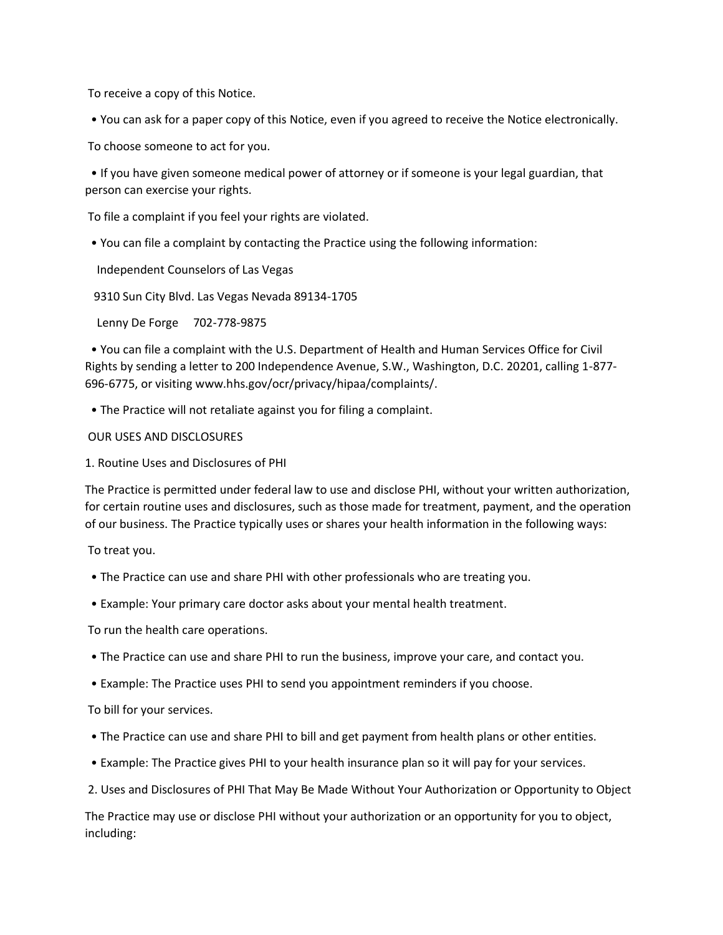To receive a copy of this Notice.

• You can ask for a paper copy of this Notice, even if you agreed to receive the Notice electronically.

To choose someone to act for you.

 • If you have given someone medical power of attorney or if someone is your legal guardian, that person can exercise your rights.

To file a complaint if you feel your rights are violated.

• You can file a complaint by contacting the Practice using the following information:

Independent Counselors of Las Vegas

9310 Sun City Blvd. Las Vegas Nevada 89134-1705

Lenny De Forge 702-778-9875

 • You can file a complaint with the U.S. Department of Health and Human Services Office for Civil Rights by sending a letter to 200 Independence Avenue, S.W., Washington, D.C. 20201, calling 1-877- 696-6775, or visiting www.hhs.gov/ocr/privacy/hipaa/complaints/.

• The Practice will not retaliate against you for filing a complaint.

OUR USES AND DISCLOSURES

1. Routine Uses and Disclosures of PHI

The Practice is permitted under federal law to use and disclose PHI, without your written authorization, for certain routine uses and disclosures, such as those made for treatment, payment, and the operation of our business. The Practice typically uses or shares your health information in the following ways:

To treat you.

- The Practice can use and share PHI with other professionals who are treating you.
- Example: Your primary care doctor asks about your mental health treatment.

To run the health care operations.

- The Practice can use and share PHI to run the business, improve your care, and contact you.
- Example: The Practice uses PHI to send you appointment reminders if you choose.

To bill for your services.

- The Practice can use and share PHI to bill and get payment from health plans or other entities.
- Example: The Practice gives PHI to your health insurance plan so it will pay for your services.
- 2. Uses and Disclosures of PHI That May Be Made Without Your Authorization or Opportunity to Object

The Practice may use or disclose PHI without your authorization or an opportunity for you to object, including: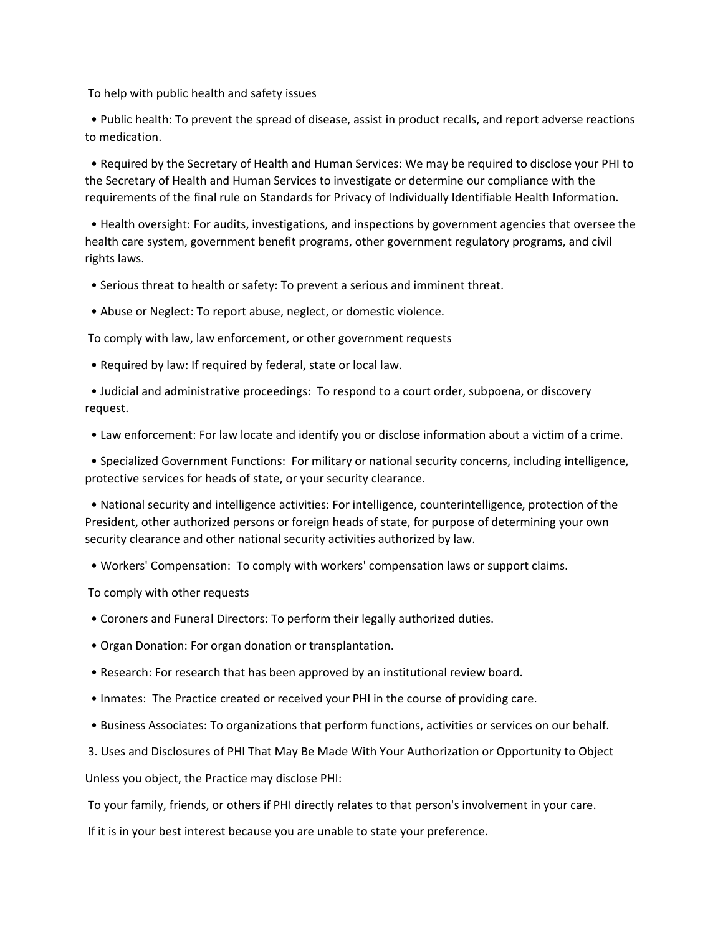To help with public health and safety issues

 • Public health: To prevent the spread of disease, assist in product recalls, and report adverse reactions to medication.

 • Required by the Secretary of Health and Human Services: We may be required to disclose your PHI to the Secretary of Health and Human Services to investigate or determine our compliance with the requirements of the final rule on Standards for Privacy of Individually Identifiable Health Information.

 • Health oversight: For audits, investigations, and inspections by government agencies that oversee the health care system, government benefit programs, other government regulatory programs, and civil rights laws.

• Serious threat to health or safety: To prevent a serious and imminent threat.

• Abuse or Neglect: To report abuse, neglect, or domestic violence.

To comply with law, law enforcement, or other government requests

• Required by law: If required by federal, state or local law.

 • Judicial and administrative proceedings: To respond to a court order, subpoena, or discovery request.

• Law enforcement: For law locate and identify you or disclose information about a victim of a crime.

 • Specialized Government Functions: For military or national security concerns, including intelligence, protective services for heads of state, or your security clearance.

 • National security and intelligence activities: For intelligence, counterintelligence, protection of the President, other authorized persons or foreign heads of state, for purpose of determining your own security clearance and other national security activities authorized by law.

• Workers' Compensation: To comply with workers' compensation laws or support claims.

To comply with other requests

- Coroners and Funeral Directors: To perform their legally authorized duties.
- Organ Donation: For organ donation or transplantation.
- Research: For research that has been approved by an institutional review board.
- Inmates: The Practice created or received your PHI in the course of providing care.
- Business Associates: To organizations that perform functions, activities or services on our behalf.
- 3. Uses and Disclosures of PHI That May Be Made With Your Authorization or Opportunity to Object

Unless you object, the Practice may disclose PHI:

To your family, friends, or others if PHI directly relates to that person's involvement in your care.

If it is in your best interest because you are unable to state your preference.